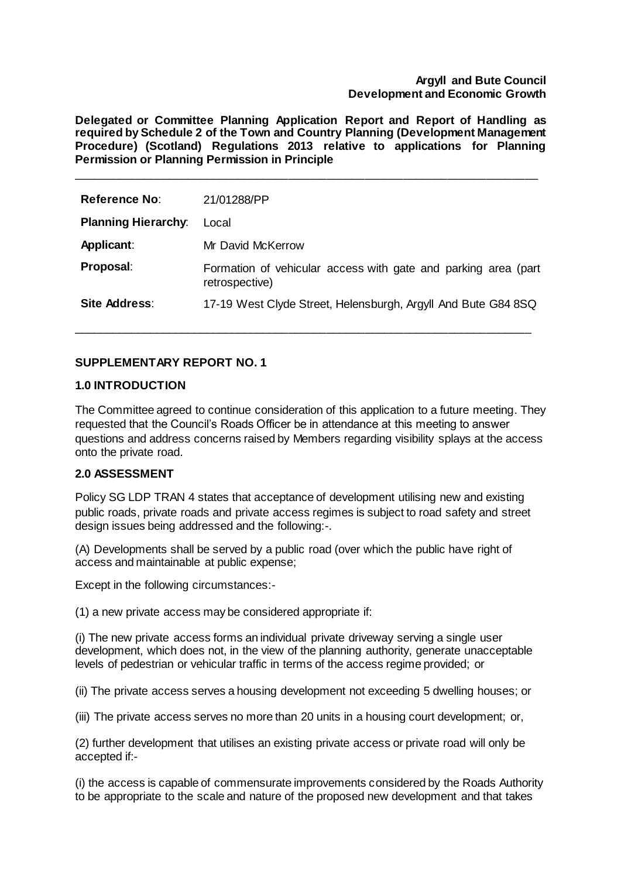### **Argyll and Bute Council Development and Economic Growth**

**Delegated or Committee Planning Application Report and Report of Handling as required by Schedule 2 of the Town and Country Planning (Development Management Procedure) (Scotland) Regulations 2013 relative to applications for Planning Permission or Planning Permission in Principle**

\_\_\_\_\_\_\_\_\_\_\_\_\_\_\_\_\_\_\_\_\_\_\_\_\_\_\_\_\_\_\_\_\_\_\_\_\_\_\_\_\_\_\_\_\_\_\_\_\_\_\_\_\_\_\_\_\_\_\_\_\_\_\_\_\_\_\_\_\_\_\_\_\_

| <b>Reference No:</b>       | 21/01288/PP                                                                      |
|----------------------------|----------------------------------------------------------------------------------|
| <b>Planning Hierarchy:</b> | Local                                                                            |
| Applicant:                 | Mr David McKerrow                                                                |
| Proposal:                  | Formation of vehicular access with gate and parking area (part<br>retrospective) |
| Site Address:              | 17-19 West Clyde Street, Helensburgh, Argyll And Bute G84 8SQ                    |

\_\_\_\_\_\_\_\_\_\_\_\_\_\_\_\_\_\_\_\_\_\_\_\_\_\_\_\_\_\_\_\_\_\_\_\_\_\_\_\_\_\_\_\_\_\_\_\_\_\_\_\_\_\_\_\_\_\_\_\_\_\_\_\_\_\_\_\_\_\_\_\_

# **SUPPLEMENTARY REPORT NO. 1**

### **1.0 INTRODUCTION**

The Committee agreed to continue consideration of this application to a future meeting. They requested that the Council's Roads Officer be in attendance at this meeting to answer questions and address concerns raised by Members regarding visibility splays at the access onto the private road.

## **2.0 ASSESSMENT**

Policy SG LDP TRAN 4 states that acceptance of development utilising new and existing public roads, private roads and private access regimes is subject to road safety and street design issues being addressed and the following:-.

(A) Developments shall be served by a public road (over which the public have right of access and maintainable at public expense;

Except in the following circumstances:-

(1) a new private access may be considered appropriate if:

(i) The new private access forms an individual private driveway serving a single user development, which does not, in the view of the planning authority, generate unacceptable levels of pedestrian or vehicular traffic in terms of the access regime provided; or

(ii) The private access serves a housing development not exceeding 5 dwelling houses; or

(iii) The private access serves no more than 20 units in a housing court development; or,

(2) further development that utilises an existing private access or private road will only be accepted if:-

(i) the access is capable of commensurate improvements considered by the Roads Authority to be appropriate to the scale and nature of the proposed new development and that takes